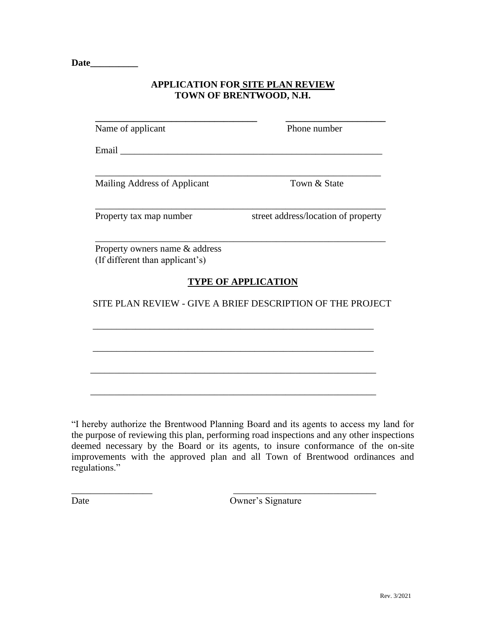**Date\_\_\_\_\_\_\_\_\_\_**

## **APPLICATION FOR SITE PLAN REVIEW TOWN OF BRENTWOOD, N.H.**

| Name of applicant                                                 | Phone number                                                                             |
|-------------------------------------------------------------------|------------------------------------------------------------------------------------------|
|                                                                   |                                                                                          |
| Mailing Address of Applicant                                      | Town & State                                                                             |
| Property tax map number                                           | street address/location of property                                                      |
| Property owners name & address<br>(If different than applicant's) |                                                                                          |
|                                                                   |                                                                                          |
|                                                                   | <b>TYPE OF APPLICATION</b><br>SITE PLAN REVIEW - GIVE A BRIEF DESCRIPTION OF THE PROJECT |
|                                                                   |                                                                                          |
|                                                                   |                                                                                          |

"I hereby authorize the Brentwood Planning Board and its agents to access my land for the purpose of reviewing this plan, performing road inspections and any other inspections deemed necessary by the Board or its agents, to insure conformance of the on-site improvements with the approved plan and all Town of Brentwood ordinances and regulations."

\_\_\_\_\_\_\_\_\_\_\_\_\_\_\_\_\_ \_\_\_\_\_\_\_\_\_\_\_\_\_\_\_\_\_\_\_\_\_\_\_\_\_\_\_\_\_\_

Date Owner's Signature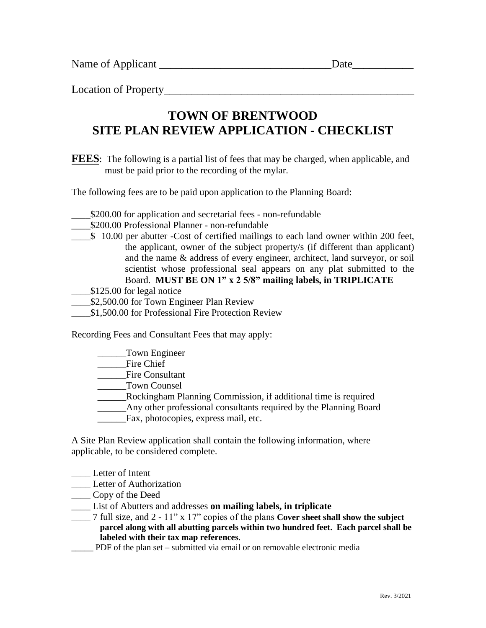Name of Applicant \_\_\_\_\_\_\_\_\_\_\_\_\_\_\_\_\_\_\_\_\_\_\_\_\_\_\_\_\_\_\_Date\_\_\_\_\_\_\_\_\_\_\_

Location of Property

## **SITE PLAN REVIEW APPLICATION - CHECKLIST TOWN OF BRENTWOOD**

must be paid prior to the recording of the mylar. **FEES**: The following is a partial list of fees that may be charged, when applicable, and

The following fees are to be paid upon application to the Planning Board:

- \_\_\_\_\$200.00 for application and secretarial fees non-refundable
- \_\_\_\_\$200.00 Professional Planner non-refundable
- Board. **MUST BE ON 1" x 2 5/8" mailing labels, in TRIPLICATE** scientist whose professional seal appears on any plat submitted to the and the name & address of every engineer, architect, land surveyor, or soil the applicant, owner of the subject property/s (if different than applicant) \_\_\_\_\$ 10.00 per abutter -Cost of certified mailings to each land owner within 200 feet,
- $$125.00$  for legal notice
- \$2,500.00 for Town Engineer Plan Review
- \$1,500.00 for Professional Fire Protection Review

Recording Fees and Consultant Fees that may apply:

\_\_\_\_\_\_Town Engineer

- \_\_\_\_\_\_Fire Chief
- \_\_\_\_\_\_Fire Consultant
- \_\_\_\_\_\_Town Counsel
- \_\_\_\_\_\_Rockingham Planning Commission, if additional time is required
- \_\_\_\_\_\_Any other professional consultants required by the Planning Board
- \_\_\_\_\_\_Fax, photocopies, express mail, etc.

applicable, to be considered complete. A Site Plan Review application shall contain the following information, where

- \_\_\_\_ Letter of Intent
- **Letter of Authorization**
- \_\_\_\_ Copy of the Deed
- \_\_\_\_ List of Abutters and addresses **on mailing labels, in triplicate**
- **labeled with their tax map references**. **parcel along with all abutting parcels within two hundred feet. Each parcel shall be** \_\_\_\_ 7 full size, and 2 - 11" x 17" copies of the plans **Cover sheet shall show the subject**
- \_\_\_\_\_ PDF of the plan set submitted via email or on removable electronic media